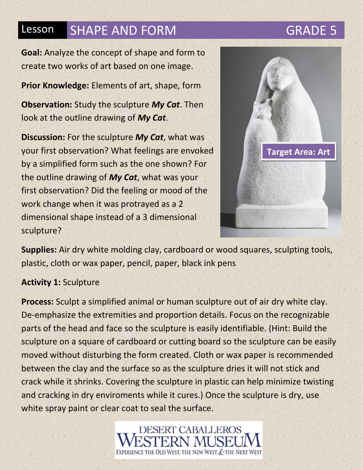**Goal:** Analyze the concept of shape and form to create two works of art based on one image.

**Prior Knowledge:** Elements of art, shape, form

**Observation:** Study the sculpture *My Cat*. Then look at the outline drawing of *My Cat*.

**Discussion:** For the sculpture *My Cat*, what was your first observation? What feelings are envoked by a simplified form such as the one shown? For the outline drawing of *My Cat*, what was your first observation? Did the feeling or mood of the work change when it was protrayed as a 2 dimensional shape instead of a 3 dimensional sculpture?



**Supplies:** Air dry white molding clay, cardboard or wood squares, sculpting tools, plastic, cloth or wax paper, pencil, paper, black ink pens

## **Activity 1:** Sculpture

**Process:** Sculpt a simplified animal or human sculpture out of air dry white clay. De-emphasize the extremities and proportion details. Focus on the recognizable parts of the head and face so the sculpture is easily identifiable. (Hint: Build the sculpture on a square of cardboard or cutting board so the sculpture can be easily moved without disturbing the form created. Cloth or wax paper is recommended between the clay and the surface so as the sculpture dries it will not stick and crack while it shrinks. Covering the sculpture in plastic can help minimize twisting and cracking in dry enviroments while it cures.) Once the sculpture is dry, use white spray paint or clear coat to seal the surface.

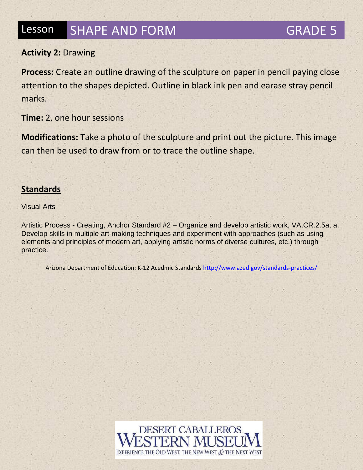## **Activity 2:** Drawing

**Process:** Create an outline drawing of the sculpture on paper in pencil paying close attention to the shapes depicted. Outline in black ink pen and earase stray pencil marks.

**Time:** 2, one hour sessions

**Modifications:** Take a photo of the sculpture and print out the picture. This image can then be used to draw from or to trace the outline shape.

### **Standards**

Visual Arts

Artistic Process - Creating, Anchor Standard #2 – Organize and develop artistic work, VA.CR.2.5a, a. Develop skills in multiple art-making techniques and experiment with approaches (such as using elements and principles of modern art, applying artistic norms of diverse cultures, etc.) through practice.

Arizona Department of Education: K-12 Acedmic Standard[s http://www.azed.gov/standards-practices/](http://www.azed.gov/standards-practices/)

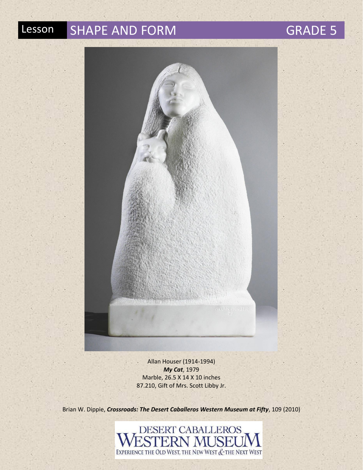

Allan Houser (1914-1994) *My Cat*, 1979 Marble, 26.5 X 14 X 10 inches 87.210, Gift of Mrs. Scott Libby Jr.

Brian W. Dippie, *Crossroads: The Desert Caballeros Western Museum at Fifty*, 109 (2010)

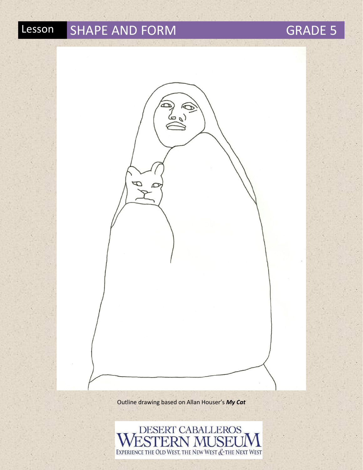Outline drawing based on Allan Houser's *My Cat*

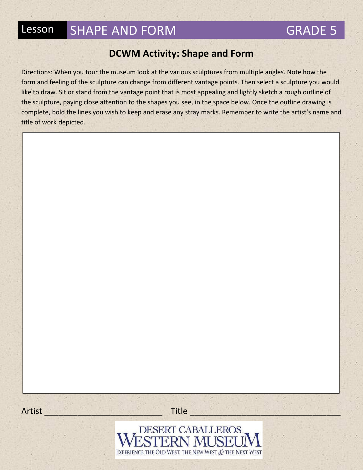## **DCWM Activity: Shape and Form**

Directions: When you tour the museum look at the various sculptures from multiple angles. Note how the form and feeling of the sculpture can change from different vantage points. Then select a sculpture you would like to draw. Sit or stand from the vantage point that is most appealing and lightly sketch a rough outline of the sculpture, paying close attention to the shapes you see, in the space below. Once the outline drawing is complete, bold the lines you wish to keep and erase any stray marks. Remember to write the artist's name and title of work depicted.